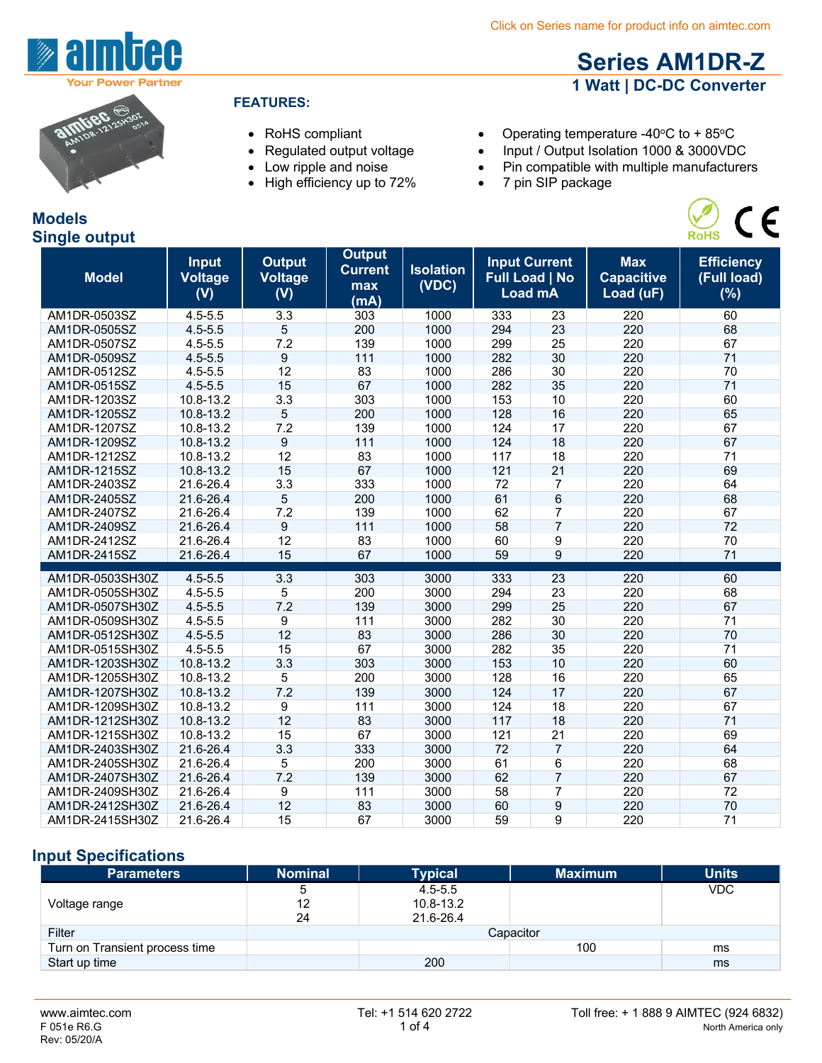**Series AM1DR-Z 1 Watt | DC-DC Converter**



#### **FEATURES:**

- -
	-
	- High efficiency up to 72% 7 pin SIP package

• RoHS compliant • Operating temperature -40°C to + 85°C

- Regulated output voltage Input / Output Isolation 1000 & 3000VDC
- Low ripple and noise Pin compatible with multiple manufacturers
	-



| pingie output   |                                       |                                        |                                                |                           |     |                                                          |                                              |                                         |
|-----------------|---------------------------------------|----------------------------------------|------------------------------------------------|---------------------------|-----|----------------------------------------------------------|----------------------------------------------|-----------------------------------------|
| <b>Model</b>    | <b>Input</b><br><b>Voltage</b><br>(V) | <b>Output</b><br><b>Voltage</b><br>(V) | <b>Output</b><br><b>Current</b><br>max<br>(mA) | <b>Isolation</b><br>(VDC) |     | <b>Input Current</b><br><b>Full Load   No</b><br>Load mA | <b>Max</b><br><b>Capacitive</b><br>Load (uF) | <b>Efficiency</b><br>(Full load)<br>(%) |
| AM1DR-0503SZ    | $4.5 - 5.5$                           | 3.3                                    | 303                                            | 1000                      | 333 | 23                                                       | 220                                          | 60                                      |
| AM1DR-0505SZ    | $4.5 - 5.5$                           | 5                                      | 200                                            | 1000                      | 294 | 23                                                       | 220                                          | 68                                      |
| AM1DR-0507SZ    | $4.5 - 5.5$                           | 7.2                                    | 139                                            | 1000                      | 299 | 25                                                       | 220                                          | 67                                      |
| AM1DR-0509SZ    | $4.5 - 5.5$                           | 9                                      | 111                                            | 1000                      | 282 | 30                                                       | 220                                          | 71                                      |
| AM1DR-0512SZ    | $4.5 - 5.5$                           | 12                                     | 83                                             | 1000                      | 286 | 30                                                       | 220                                          | 70                                      |
| AM1DR-0515SZ    | $4.5 - 5.5$                           | 15                                     | 67                                             | 1000                      | 282 | 35                                                       | 220                                          | 71                                      |
| AM1DR-1203SZ    | 10.8-13.2                             | 3.3                                    | 303                                            | 1000                      | 153 | 10                                                       | 220                                          | 60                                      |
| AM1DR-1205SZ    | 10.8-13.2                             | 5                                      | 200                                            | 1000                      | 128 | 16                                                       | 220                                          | 65                                      |
| AM1DR-1207SZ    | 10.8-13.2                             | 7.2                                    | 139                                            | 1000                      | 124 | 17                                                       | 220                                          | 67                                      |
| AM1DR-1209SZ    | 10.8-13.2                             | 9                                      | 111                                            | 1000                      | 124 | 18                                                       | 220                                          | 67                                      |
| AM1DR-1212SZ    | 10.8-13.2                             | 12                                     | 83                                             | 1000                      | 117 | 18                                                       | 220                                          | 71                                      |
| AM1DR-1215SZ    | 10.8-13.2                             | 15                                     | 67                                             | 1000                      | 121 | 21                                                       | 220                                          | 69                                      |
| AM1DR-2403SZ    | 21.6-26.4                             | 3.3                                    | 333                                            | 1000                      | 72  | 7                                                        | 220                                          | 64                                      |
| AM1DR-2405SZ    | 21.6-26.4                             | 5                                      | 200                                            | 1000                      | 61  | 6                                                        | 220                                          | 68                                      |
| AM1DR-2407SZ    | 21.6-26.4                             | 7.2                                    | 139                                            | 1000                      | 62  | 7                                                        | 220                                          | 67                                      |
| AM1DR-2409SZ    | 21.6-26.4                             | 9                                      | 111                                            | 1000                      | 58  | $\overline{7}$                                           | 220                                          | 72                                      |
| AM1DR-2412SZ    | 21.6-26.4                             | 12                                     | 83                                             | 1000                      | 60  | 9                                                        | 220                                          | 70                                      |
| AM1DR-2415SZ    | 21.6-26.4                             | 15                                     | 67                                             | 1000                      | 59  | $\overline{9}$                                           | 220                                          | 71                                      |
| AM1DR-0503SH30Z | $4.5 - 5.5$                           | 3.3                                    | 303                                            | 3000                      | 333 | 23                                                       | 220                                          | 60                                      |
| AM1DR-0505SH30Z | $4.5 - 5.5$                           | 5                                      | 200                                            | 3000                      | 294 | 23                                                       | 220                                          | 68                                      |
| AM1DR-0507SH30Z | $4.5 - 5.5$                           | 7.2                                    | 139                                            | 3000                      | 299 | 25                                                       | 220                                          | 67                                      |
| AM1DR-0509SH30Z | $4.5 - 5.5$                           | 9                                      | 111                                            | 3000                      | 282 | 30                                                       | 220                                          | 71                                      |
| AM1DR-0512SH30Z | $4.5 - 5.5$                           | 12                                     | 83                                             | 3000                      | 286 | 30                                                       | 220                                          | 70                                      |
| AM1DR-0515SH30Z | $4.5 - 5.5$                           | 15                                     | 67                                             | 3000                      | 282 | 35                                                       | 220                                          | 71                                      |
| AM1DR-1203SH30Z | 10.8-13.2                             | 3.3                                    | 303                                            | 3000                      | 153 | 10                                                       | 220                                          | 60                                      |
| AM1DR-1205SH30Z | 10.8-13.2                             | 5                                      | 200                                            | 3000                      | 128 | 16                                                       | 220                                          | 65                                      |
| AM1DR-1207SH30Z | 10.8-13.2                             | 7.2                                    | 139                                            | 3000                      | 124 | 17                                                       | 220                                          | 67                                      |
| AM1DR-1209SH30Z | 10.8-13.2                             | 9                                      | 111                                            | 3000                      | 124 | 18                                                       | 220                                          | 67                                      |
| AM1DR-1212SH30Z | 10.8-13.2                             | 12                                     | 83                                             | 3000                      | 117 | 18                                                       | 220                                          | 71                                      |
| AM1DR-1215SH30Z | 10.8-13.2                             | 15                                     | 67                                             | 3000                      | 121 | $\overline{21}$                                          | 220                                          | 69                                      |
| AM1DR-2403SH30Z | 21.6-26.4                             | 3.3                                    | 333                                            | 3000                      | 72  | $\overline{7}$                                           | 220                                          | 64                                      |
| AM1DR-2405SH30Z | 21.6-26.4                             | 5                                      | 200                                            | 3000                      | 61  | 6                                                        | 220                                          | 68                                      |
| AM1DR-2407SH30Z | 21.6-26.4                             | 7.2                                    | 139                                            | 3000                      | 62  | $\overline{7}$                                           | 220                                          | 67                                      |
| AM1DR-2409SH30Z | 21.6-26.4                             | 9                                      | 111                                            | 3000                      | 58  | 7                                                        | 220                                          | 72                                      |
| AM1DR-2412SH30Z | 21.6-26.4                             | 12                                     | 83                                             | 3000                      | 60  | 9                                                        | 220                                          | 70                                      |
| AM1DR-2415SH30Z | 21.6-26.4                             | 15                                     | 67                                             | 3000                      | 59  | 9                                                        | 220                                          | 71                                      |

## **Input Specifications**

| <b>Parameters</b>              | <b>Nominal</b> | <b>Typical</b> | <b>Maximum</b> | <b>Units</b> |
|--------------------------------|----------------|----------------|----------------|--------------|
|                                | 5              | $4.5 - 5.5$    |                | <b>VDC</b>   |
| Voltage range                  | 12             | $10.8 - 13.2$  |                |              |
|                                | 24             | 21.6-26.4      |                |              |
| Filter                         |                |                | Capacitor      |              |
| Turn on Transient process time |                |                | 100            | ms           |
| Start up time                  |                | 200            |                | ms           |



# **Models Single output**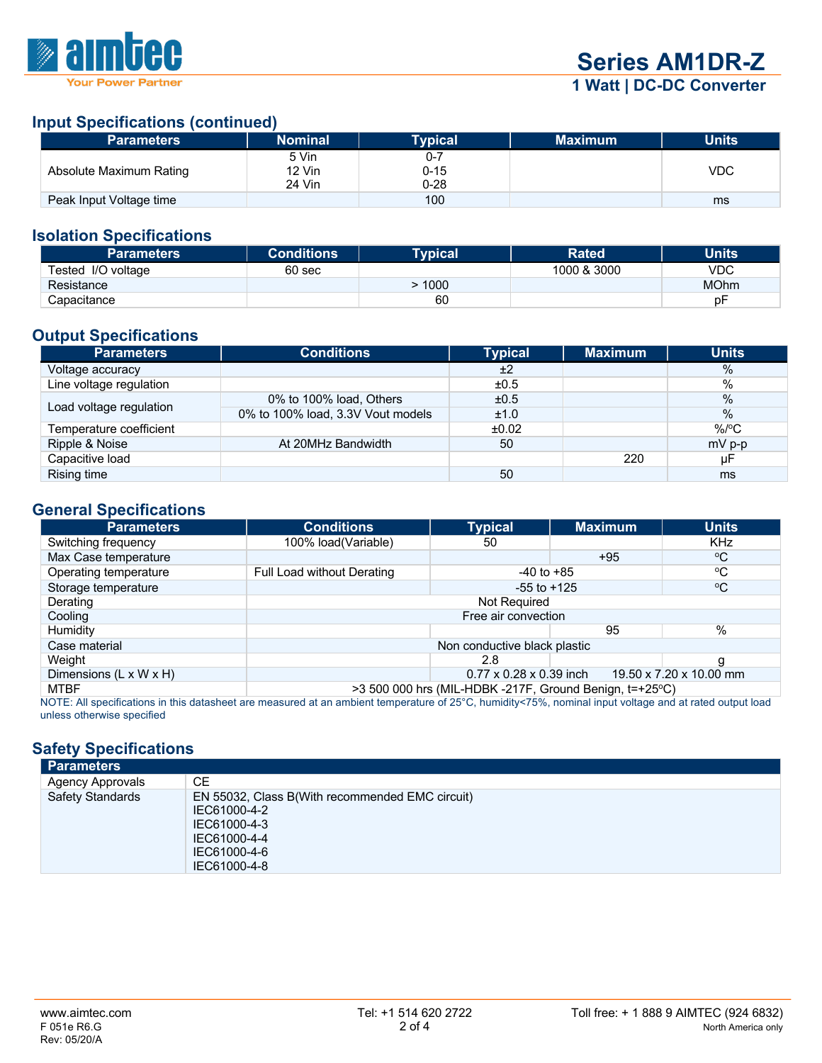

### **Input Specifications (continued)**

| <b>Parameters</b>       | <b>Nominal</b>  | Typical         | <b>Maximum</b> | <b>Units</b> |
|-------------------------|-----------------|-----------------|----------------|--------------|
| Absolute Maximum Rating | 5 Vin<br>12 Vin | 0-7<br>$0 - 15$ |                | <b>VDC</b>   |
|                         | 24 Vin          | $0 - 28$        |                |              |
| Peak Input Voltage time |                 | 100             |                | ms           |

#### **Isolation Specifications**

| <b>Parameters</b>  | <b>Conditions</b> | <b>Tvpical</b> | <b>Rated</b> | Units       |
|--------------------|-------------------|----------------|--------------|-------------|
| Tested I/O voltage | 60 <sub>sec</sub> |                | 1000 & 3000  | VDC         |
| Resistance         |                   | 1000           |              | <b>MOhm</b> |
| Capacitance        |                   | 60             |              | рF          |

## **Output Specifications**

| <b>Parameters</b>       | <b>Conditions</b>                 | <b>Typical</b> | <b>Maximum</b> | <b>Units</b> |
|-------------------------|-----------------------------------|----------------|----------------|--------------|
| Voltage accuracy        |                                   | ±2             |                | %            |
| Line voltage regulation |                                   | ±0.5           |                | $\%$         |
|                         | 0% to 100% load, Others           | ±0.5           |                | $\%$         |
| Load voltage regulation | 0% to 100% load, 3.3V Vout models | ±1.0           |                | $\%$         |
| Temperature coefficient |                                   | ±0.02          |                | $%$ /°C      |
| Ripple & Noise          | At 20MHz Bandwidth                | 50             |                | $mV$ p-p     |
| Capacitive load         |                                   |                | 220            | μF           |
| Rising time             |                                   | 50             |                | ms           |

#### **General Specifications**

| <b>Parameters</b>                                                                                                                                                    | <b>Conditions</b>                                              | <b>Typical</b>  | <b>Maximum</b> | <b>Units</b> |  |
|----------------------------------------------------------------------------------------------------------------------------------------------------------------------|----------------------------------------------------------------|-----------------|----------------|--------------|--|
| Switching frequency                                                                                                                                                  | 100% load(Variable)                                            | 50              |                | <b>KHz</b>   |  |
| Max Case temperature                                                                                                                                                 |                                                                |                 | $+95$          | °€           |  |
| Operating temperature                                                                                                                                                | Full Load without Derating                                     | $-40$ to $+85$  |                | °C           |  |
| Storage temperature                                                                                                                                                  |                                                                | $-55$ to $+125$ |                | °C           |  |
| Derating                                                                                                                                                             | Not Required                                                   |                 |                |              |  |
| Cooling                                                                                                                                                              | Free air convection                                            |                 |                |              |  |
| Humidity                                                                                                                                                             | 95                                                             |                 |                | $\%$         |  |
| Case material                                                                                                                                                        | Non conductive black plastic                                   |                 |                |              |  |
| Weight                                                                                                                                                               |                                                                | 2.8             |                |              |  |
| Dimensions (L x W x H)                                                                                                                                               | $0.77 \times 0.28 \times 0.39$ inch<br>19.50 x 7.20 x 10.00 mm |                 |                |              |  |
| MTBF                                                                                                                                                                 | $>3500000$ hrs (MIL-HDBK -217F, Ground Benign, t=+25°C)        |                 |                |              |  |
| NOTE: All epocifications in this datasheet are measured at an ambient temperature of $25\degree$ C, bumidity $75\%$ , neminal input veltage and at rated output load |                                                                |                 |                |              |  |

NOTE: All specifications in this datasheet are measured at an ambient temperature of 25°C, humidity<75%, nominal input voltage and at rated output load unless otherwise specified

# **Safety Specifications**

| <b>Parameters</b>       |                                                                                                                                 |  |  |  |
|-------------------------|---------------------------------------------------------------------------------------------------------------------------------|--|--|--|
| <b>Agency Approvals</b> | CE.                                                                                                                             |  |  |  |
| <b>Safety Standards</b> | EN 55032, Class B(With recommended EMC circuit)<br>IEC61000-4-2<br>IEC61000-4-3<br>IEC61000-4-4<br>IEC61000-4-6<br>IEC61000-4-8 |  |  |  |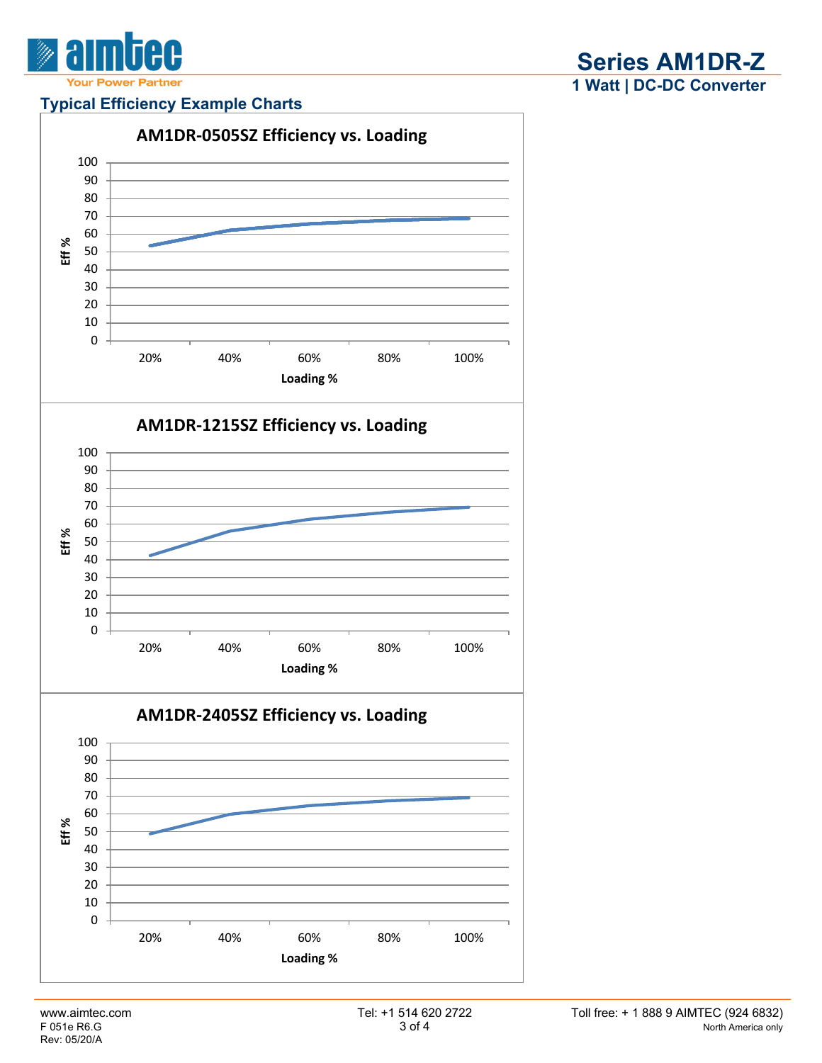

### **Typical Efficiency Example Charts**